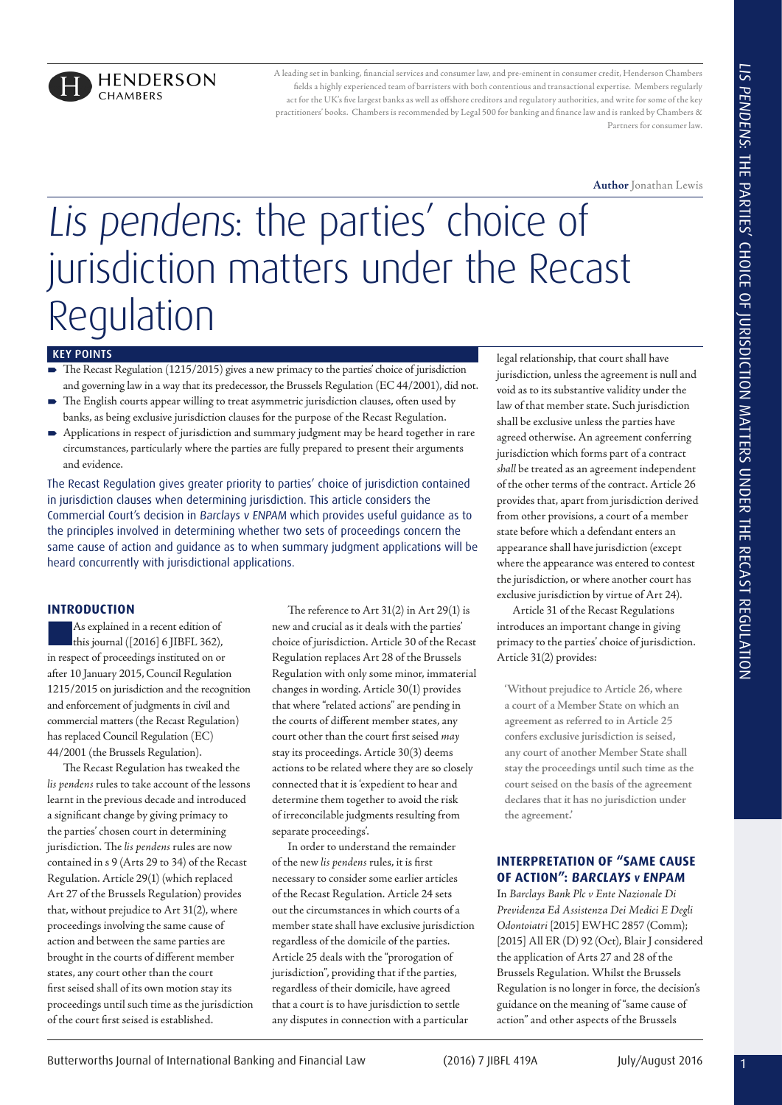

A leading set in banking, financial services and consumer law, and pre-eminent in consumer credit, Henderson Chambers fi elds a highly experienced team of barristers with both contentious and transactional expertise. Members regularly act for the UK's five largest banks as well as offshore creditors and regulatory authorities, and write for some of the key practitioners' books. Chambers is recommended by Legal 500 for banking and finance law and is ranked by Chambers & Partners for consumer law.

**Author** Jonathan Lewis

# 1 Butterworths Journal of International Banking and Financial Law (2016) 7 JIBFL 419A July/August 2016 LIS PENDENS: THE PARTIES' CHOICE OF JURISDICTION MATTERS UNDER THE RECAST REGULATION Lis pendens: the parties' choice of jurisdiction matters under the Recast Regulation

#### KEY POINTS

- The Recast Regulation (1215/2015) gives a new primacy to the parties' choice of jurisdiction and governing law in a way that its predecessor, the Brussels Regulation (EC 44/2001), did not.
- The English courts appear willing to treat asymmetric jurisdiction clauses, often used by banks, as being exclusive jurisdiction clauses for the purpose of the Recast Regulation.
- Applications in respect of jurisdiction and summary judgment may be heard together in rare circumstances, particularly where the parties are fully prepared to present their arguments and evidence.

The Recast Regulation gives greater priority to parties' choice of jurisdiction contained in jurisdiction clauses when determining jurisdiction. This article considers the Commercial Court's decision in Barclays v ENPAM which provides useful guidance as to the principles involved in determining whether two sets of proceedings concern the same cause of action and guidance as to when summary judgment applications will be heard concurrently with jurisdictional applications.

# **INTRODUCTION**

nAs explained in a recent edition of this journal ([2016] 6 JIBFL 362), in respect of proceedings instituted on or after 10 January 2015, Council Regulation 1215/2015 on jurisdiction and the recognition and enforcement of judgments in civil and commercial matters (the Recast Regulation) has replaced Council Regulation (EC) 44/2001 (the Brussels Regulation).

The Recast Regulation has tweaked the *lis pendens* rules to take account of the lessons learnt in the previous decade and introduced a significant change by giving primacy to the parties' chosen court in determining jurisdiction. The *lis pendens* rules are now contained in s 9 (Arts 29 to 34) of the Recast Regulation. Article 29(1) (which replaced Art 27 of the Brussels Regulation) provides that, without prejudice to Art 31(2), where proceedings involving the same cause of action and between the same parties are brought in the courts of different member states, any court other than the court first seised shall of its own motion stay its proceedings until such time as the jurisdiction of the court first seised is established.

The reference to Art 31(2) in Art 29(1) is new and crucial as it deals with the parties' choice of jurisdiction. Article 30 of the Recast Regulation replaces Art 28 of the Brussels Regulation with only some minor, immaterial changes in wording. Article 30(1) provides that where "related actions" are pending in the courts of different member states, any court other than the court first seised *may* stay its proceedings. Article 30(3) deems actions to be related where they are so closely connected that it is 'expedient to hear and determine them together to avoid the risk of irreconcilable judgments resulting from separate proceedings'.

In order to understand the remainder of the new *lis pendens* rules, it is first necessary to consider some earlier articles of the Recast Regulation. Article 24 sets out the circumstances in which courts of a member state shall have exclusive jurisdiction regardless of the domicile of the parties. Article 25 deals with the "prorogation of jurisdiction", providing that if the parties, regardless of their domicile, have agreed that a court is to have jurisdiction to settle any disputes in connection with a particular

legal relationship, that court shall have jurisdiction, unless the agreement is null and void as to its substantive validity under the law of that member state. Such jurisdiction shall be exclusive unless the parties have agreed otherwise. An agreement conferring jurisdiction which forms part of a contract *shall* be treated as an agreement independent of the other terms of the contract. Article 26 provides that, apart from jurisdiction derived from other provisions, a court of a member state before which a defendant enters an appearance shall have jurisdiction (except where the appearance was entered to contest the jurisdiction, or where another court has exclusive jurisdiction by virtue of Art 24).

Article 31 of the Recast Regulations introduces an important change in giving primacy to the parties' choice of jurisdiction. Article 31(2) provides:

**'Without prejudice to Article 26, where a court of a Member State on which an agreement as referred to in Article 25 confers exclusive jurisdiction is seised, any court of another Member State shall stay the proceedings until such time as the court seised on the basis of the agreement declares that it has no jurisdiction under the agreement.'**

# **INTERPRETATION OF "SAME CAUSE OF ACTION": BARCLAYS v ENPAM**

In *Barclays Bank Plc v Ente Nazionale Di Previdenza Ed Assistenza Dei Medici E Degli Odontoiatri* [2015] EWHC 2857 (Comm); [2015] All ER (D) 92 (Oct), Blair J considered the application of Arts 27 and 28 of the Brussels Regulation. Whilst the Brussels Regulation is no longer in force, the decision's guidance on the meaning of "same cause of action" and other aspects of the Brussels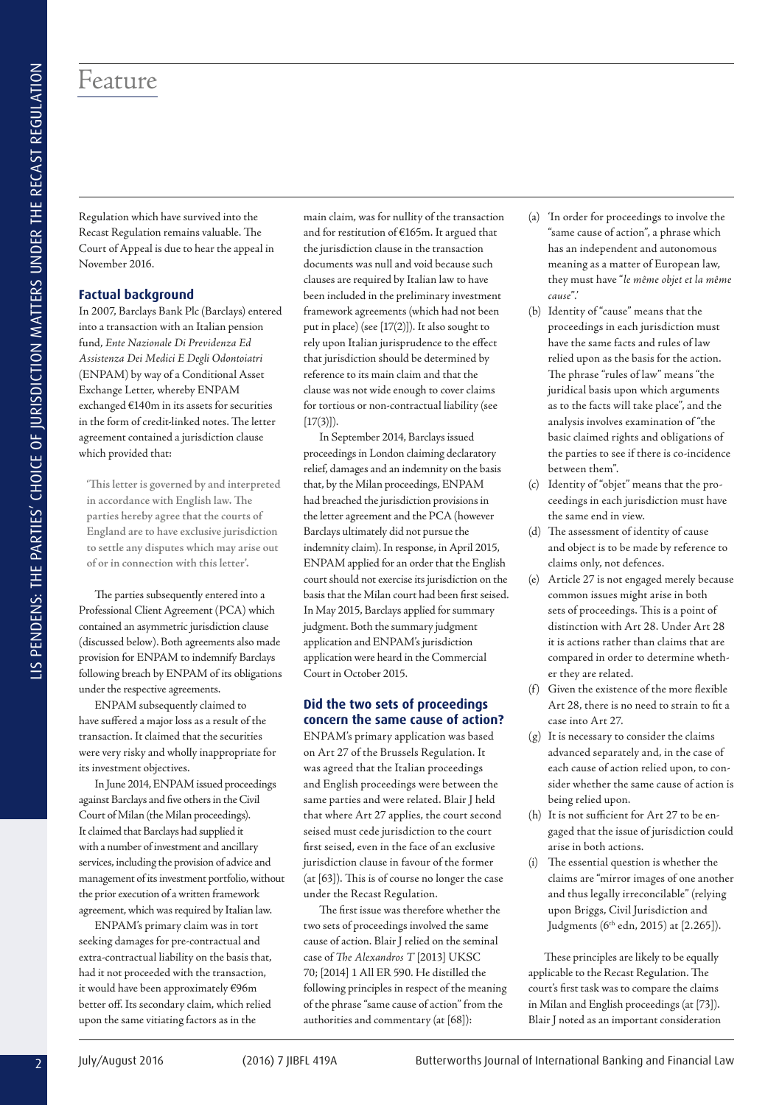# Feature

Regulation which have survived into the Recast Regulation remains valuable. The Court of Appeal is due to hear the appeal in November 2016.

# **Factual background**

In 2007, Barclays Bank Plc (Barclays) entered into a transaction with an Italian pension fund, *Ente Nazionale Di Previdenza Ed Assistenza Dei Medici E Degli Odontoiatri* (ENPAM) by way of a Conditional Asset Exchange Letter, whereby ENPAM exchanged €140m in its assets for securities in the form of credit-linked notes. The letter agreement contained a jurisdiction clause which provided that:

**'This letter is governed by and interpreted in accordance with English law. The parties hereby agree that the courts of England are to have exclusive jurisdiction to settle any disputes which may arise out of or in connection with this letter'.**

The parties subsequently entered into a Professional Client Agreement (PCA) which contained an asymmetric jurisdiction clause (discussed below). Both agreements also made provision for ENPAM to indemnify Barclays following breach by ENPAM of its obligations under the respective agreements.

ENPAM subsequently claimed to have suffered a major loss as a result of the transaction. It claimed that the securities were very risky and wholly inappropriate for its investment objectives.

In June 2014, ENPAM issued proceedings against Barclays and five others in the Civil Court of Milan (the Milan proceedings). It claimed that Barclays had supplied it with a number of investment and ancillary services, including the provision of advice and management of its investment portfolio, without the prior execution of a written framework agreement, which was required by Italian law.

ENPAM's primary claim was in tort seeking damages for pre-contractual and extra-contractual liability on the basis that, had it not proceeded with the transaction, it would have been approximately €96m better off. Its secondary claim, which relied upon the same vitiating factors as in the

main claim, was for nullity of the transaction and for restitution of €165m. It argued that the jurisdiction clause in the transaction documents was null and void because such clauses are required by Italian law to have been included in the preliminary investment framework agreements (which had not been put in place) (see [17(2)]). It also sought to rely upon Italian jurisprudence to the effect that jurisdiction should be determined by reference to its main claim and that the clause was not wide enough to cover claims for tortious or non-contractual liability (see  $[17(3)]$ .

2 Conserver the conserver the conserver the conserver the conserver the conserver the conserver the conserver the conserver the conserver the conserver the conserver the conserver the conserver the conserver the conserver In September 2014, Barclays issued proceedings in London claiming declaratory relief, damages and an indemnity on the basis that, by the Milan proceedings, ENPAM had breached the jurisdiction provisions in the letter agreement and the PCA (however Barclays ultimately did not pursue the indemnity claim). In response, in April 2015, ENPAM applied for an order that the English court should not exercise its jurisdiction on the basis that the Milan court had been first seised. In May 2015, Barclays applied for summary judgment. Both the summary judgment application and ENPAM's jurisdiction application were heard in the Commercial Court in October 2015.

# **Did the two sets of proceedings concern the same cause of action?**

ENPAM's primary application was based on Art 27 of the Brussels Regulation. It was agreed that the Italian proceedings and English proceedings were between the same parties and were related. Blair J held that where Art 27 applies, the court second seised must cede jurisdiction to the court first seised, even in the face of an exclusive jurisdiction clause in favour of the former (at [63]). This is of course no longer the case under the Recast Regulation.

The first issue was therefore whether the two sets of proceedings involved the same cause of action. Blair J relied on the seminal case of *The Alexandros T* [2013] UKSC 70; [2014] 1 All ER 590. He distilled the following principles in respect of the meaning of the phrase "same cause of action" from the authorities and commentary (at [68]):

- (a) 'In order for proceedings to involve the "same cause of action", a phrase which has an independent and autonomous meaning as a matter of European law, they must have "*le même objet et la même cause*".'
- (b) Identity of "cause" means that the proceedings in each jurisdiction must have the same facts and rules of law relied upon as the basis for the action. The phrase "rules of law" means "the juridical basis upon which arguments as to the facts will take place", and the analysis involves examination of "the basic claimed rights and obligations of the parties to see if there is co-incidence between them".
- (c) Identity of "objet" means that the proceedings in each jurisdiction must have the same end in view.
- (d) The assessment of identity of cause and object is to be made by reference to claims only, not defences.
- (e) Article 27 is not engaged merely because common issues might arise in both sets of proceedings. This is a point of distinction with Art 28. Under Art 28 it is actions rather than claims that are compared in order to determine whether they are related.
- (f) Given the existence of the more flexible Art 28, there is no need to strain to fit a case into Art 27.
- (g) It is necessary to consider the claims advanced separately and, in the case of each cause of action relied upon, to consider whether the same cause of action is being relied upon.
- (h) It is not sufficient for Art 27 to be engaged that the issue of jurisdiction could arise in both actions.
- (i) The essential question is whether the claims are "mirror images of one another and thus legally irreconcilable" (relying upon Briggs, Civil Jurisdiction and Judgments (6th edn, 2015) at [2.265]).

These principles are likely to be equally applicable to the Recast Regulation. The court's first task was to compare the claims in Milan and English proceedings (at [73]). Blair J noted as an important consideration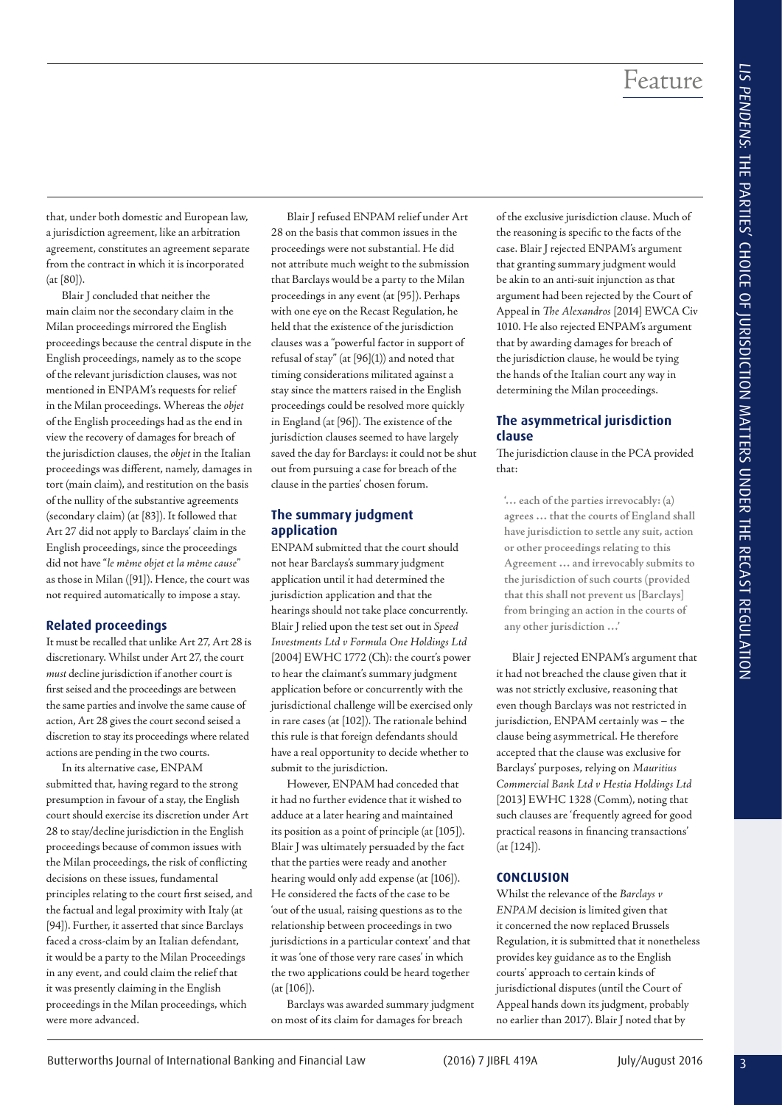that, under both domestic and European law, a jurisdiction agreement, like an arbitration agreement, constitutes an agreement separate from the contract in which it is incorporated (at [80]).

Blair J concluded that neither the main claim nor the secondary claim in the Milan proceedings mirrored the English proceedings because the central dispute in the English proceedings, namely as to the scope of the relevant jurisdiction clauses, was not mentioned in ENPAM's requests for relief in the Milan proceedings. Whereas the *objet* of the English proceedings had as the end in view the recovery of damages for breach of the jurisdiction clauses, the *objet* in the Italian proceedings was different, namely, damages in tort (main claim), and restitution on the basis of the nullity of the substantive agreements (secondary claim) (at [83]). It followed that Art 27 did not apply to Barclays' claim in the English proceedings, since the proceedings did not have "*le même objet et la même cause*" as those in Milan ([91]). Hence, the court was not required automatically to impose a stay.

#### **Related proceedings**

It must be recalled that unlike Art 27, Art 28 is discretionary. Whilst under Art 27, the court *must* decline jurisdiction if another court is first seised and the proceedings are between the same parties and involve the same cause of action, Art 28 gives the court second seised a discretion to stay its proceedings where related actions are pending in the two courts.

In its alternative case, ENPAM submitted that, having regard to the strong presumption in favour of a stay, the English court should exercise its discretion under Art 28 to stay/decline jurisdiction in the English proceedings because of common issues with the Milan proceedings, the risk of conflicting decisions on these issues, fundamental principles relating to the court first seised, and the factual and legal proximity with Italy (at [94]). Further, it asserted that since Barclays faced a cross-claim by an Italian defendant, it would be a party to the Milan Proceedings in any event, and could claim the relief that it was presently claiming in the English proceedings in the Milan proceedings, which were more advanced.

Blair J refused ENPAM relief under Art 28 on the basis that common issues in the proceedings were not substantial. He did not attribute much weight to the submission that Barclays would be a party to the Milan proceedings in any event (at [95]). Perhaps with one eye on the Recast Regulation, he held that the existence of the jurisdiction clauses was a "powerful factor in support of refusal of stay" (at [96](1)) and noted that timing considerations militated against a stay since the matters raised in the English proceedings could be resolved more quickly in England (at [96]). The existence of the jurisdiction clauses seemed to have largely saved the day for Barclays: it could not be shut out from pursuing a case for breach of the clause in the parties' chosen forum.

# **The summary judgment application**

ENPAM submitted that the court should not hear Barclays's summary judgment application until it had determined the jurisdiction application and that the hearings should not take place concurrently. Blair J relied upon the test set out in *Speed Investments Ltd v Formula One Holdings Ltd* [2004] EWHC 1772 (Ch): the court's power to hear the claimant's summary judgment application before or concurrently with the jurisdictional challenge will be exercised only in rare cases (at [102]). The rationale behind this rule is that foreign defendants should have a real opportunity to decide whether to submit to the jurisdiction.

However, ENPAM had conceded that it had no further evidence that it wished to adduce at a later hearing and maintained its position as a point of principle (at [105]). Blair J was ultimately persuaded by the fact that the parties were ready and another hearing would only add expense (at [106]). He considered the facts of the case to be 'out of the usual, raising questions as to the relationship between proceedings in two jurisdictions in a particular context' and that it was 'one of those very rare cases' in which the two applications could be heard together (at [106]).

Barclays was awarded summary judgment on most of its claim for damages for breach

of the exclusive jurisdiction clause. Much of the reasoning is specific to the facts of the case. Blair J rejected ENPAM's argument that granting summary judgment would be akin to an anti-suit injunction as that argument had been rejected by the Court of Appeal in *The Alexandros* [2014] EWCA Civ 1010. He also rejected ENPAM's argument that by awarding damages for breach of the jurisdiction clause, he would be tying the hands of the Italian court any way in determining the Milan proceedings.

# **The asymmetrical jurisdiction clause**

The jurisdiction clause in the PCA provided that:

**'… each of the parties irrevocably: (a) agrees … that the courts of England shall have jurisdiction to settle any suit, action or other proceedings relating to this Agreement … and irrevocably submits to the jurisdiction of such courts (provided that this shall not prevent us [Barclays] from bringing an action in the courts of any other jurisdiction …'**

Blair J rejected ENPAM's argument that it had not breached the clause given that it was not strictly exclusive, reasoning that even though Barclays was not restricted in jurisdiction, ENPAM certainly was – the clause being asymmetrical. He therefore accepted that the clause was exclusive for Barclays' purposes, relying on *Mauritius Commercial Bank Ltd v Hestia Holdings Ltd* [2013] EWHC 1328 (Comm), noting that such clauses are 'frequently agreed for good practical reasons in financing transactions' (at [124]).

# **CONCLUSION**

Whilst the relevance of the *Barclays v ENPAM* decision is limited given that it concerned the now replaced Brussels Regulation, it is submitted that it nonetheless provides key guidance as to the English courts' approach to certain kinds of jurisdictional disputes (until the Court of Appeal hands down its judgment, probably no earlier than 2017). Blair J noted that by